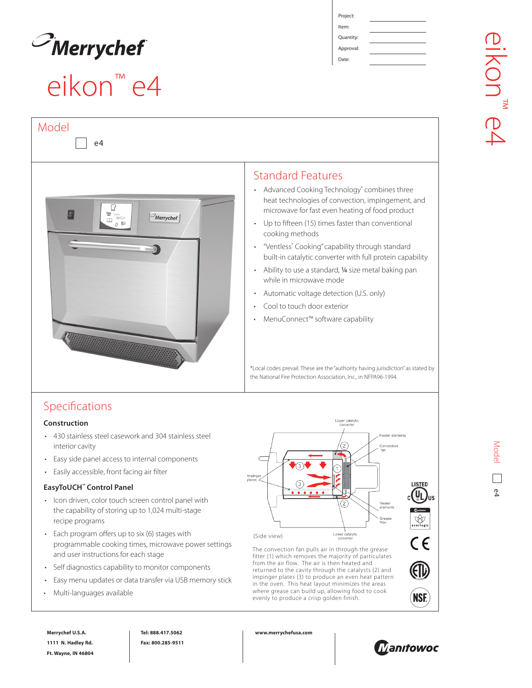

Model

## eikon™ e4

Item: **Quantity:** 

Approval:

Date:



### Standard Features

- Advanced Cooking Technology® combines three heat technologies of convection, impingement, and microwave for fast even heating of food product
- Up to fifteen (15) times faster than conventional cooking methods
- "Ventless\* Cooking" capability through standard built-in catalytic converter with full protein capability
- Ability to use a standard, ¼ size metal baking pan while in microwave mode
- Automatic voltage detection (U.S. only)
- Cool to touch door exterior
- MenuConnect™ software capability

\*Local codes prevail. These are the "authority having jurisdiction" as stated by the National Fire Protection Association, Inc., in NFPA96-1994.

## Specifications

#### **Construction**

- 430 stainless steel casework and 304 stainless steel interior cavity
- Easy side panel access to internal components
- Easily accessible, front facing air filter

#### **EasyToUCH™ Control Panel**

- Icon driven, color touch screen control panel with the capability of storing up to 1,024 multi-stage recipe programs
- Each program offers up to six (6) stages with programmable cooking times, microwave power settings and user instructions for each stage
- Self diagnostics capability to monitor components
- Easy menu updates or data transfer via USB memory stick
- Multi-languages available



The convection fan pulls air in through the grease filter (1) which removes the majority of particulates from the air flow. The air is then heated and returned to the cavity through the catalysts (2) and impinger plates (3) to produce an even heat pattern in the oven. This heat layout minimizes the areas where grease can build up, allowing food to cook evenly to produce a crisp golden finish.



**Tel: 888.417.5062 Fax: 800.285-9511** **www.merrychefusa.com**